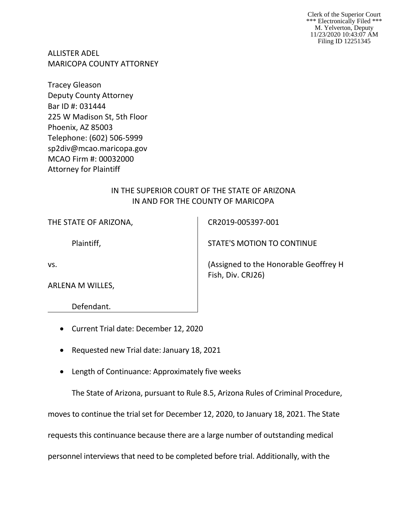Clerk of the Superior Court \*\*\* Electronically Filed \*\*\* M. Yelverton, Deputy 11/23/2020 10:43:07 AM Filing ID 12251345

ALLISTER ADEL MARICOPA COUNTY ATTORNEY

Tracey Gleason Deputy County Attorney Bar ID #: 031444 225 W Madison St, 5th Floor Phoenix, AZ 85003 Telephone: (602) 506-5999 sp2div@mcao.maricopa.gov MCAO Firm #: 00032000 Attorney for Plaintiff

## IN THE SUPERIOR COURT OF THE STATE OF ARIZONA IN AND FOR THE COUNTY OF MARICOPA

Plaintiff,

vs.

ARLENA M WILLES,

Defendant.

- Current Trial date: December 12, 2020
- Requested new Trial date: January 18, 2021
- Length of Continuance: Approximately five weeks

The State of Arizona, pursuant to Rule 8.5, Arizona Rules of Criminal Procedure,

moves to continue the trial set for December 12, 2020, to January 18, 2021. The State

requests this continuance because there are a large number of outstanding medical

personnel interviews that need to be completed before trial. Additionally, with the

CR2019-005397-001

STATE'S MOTION TO CONTINUE

(Assigned to the Honorable Geoffrey H Fish, Div. CRJ26)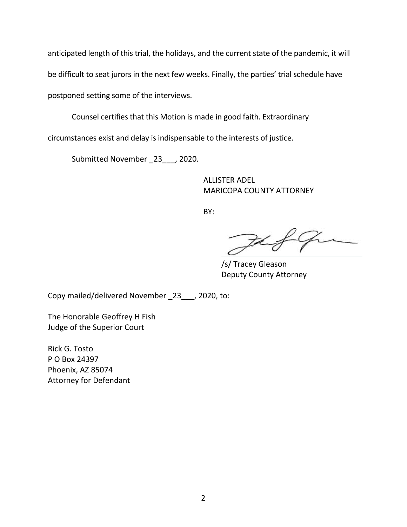anticipated length of this trial, the holidays, and the current state of the pandemic, it will be difficult to seat jurors in the next few weeks. Finally, the parties' trial schedule have postponed setting some of the interviews.

Counsel certifies that this Motion is made in good faith. Extraordinary

circumstances exist and delay is indispensable to the interests of justice.

Submitted November \_23\_\_\_, 2020.

ALLISTER ADEL MARICOPA COUNTY ATTORNEY

BY:

FL

/s/ Tracey Gleason Deputy County Attorney

Copy mailed/delivered November \_23\_\_\_, 2020, to:

The Honorable Geoffrey H Fish Judge of the Superior Court

Rick G. Tosto P O Box 24397 Phoenix, AZ 85074 Attorney for Defendant